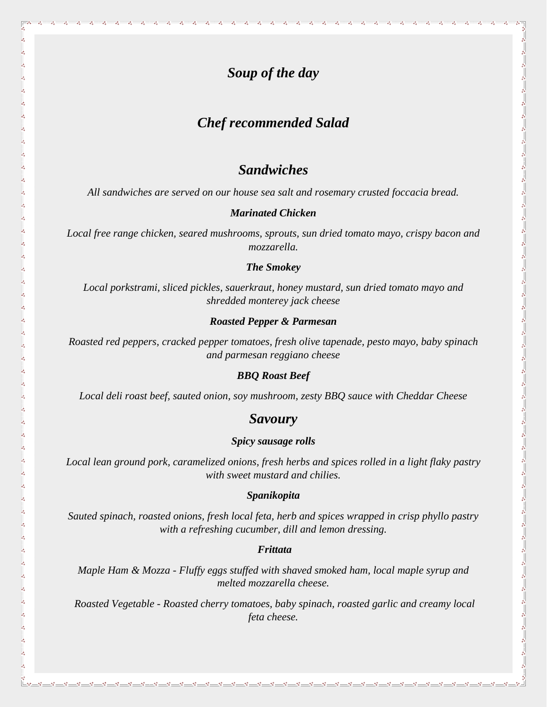# *Soup of the day*

# *Chef recommended Salad*

## *Sandwiches*

*All sandwiches are served on our house sea salt and rosemary crusted foccacia bread.*

### *Marinated Chicken*

*Local free range chicken, seared mushrooms, sprouts, sun dried tomato mayo, crispy bacon and mozzarella.*

### *The Smokey*

*Local porkstrami, sliced pickles, sauerkraut, honey mustard, sun dried tomato mayo and shredded monterey jack cheese*

 $5^\circ - \frac{\circ}{\circ}$ 

 $\frac{1}{2}$ 

 $5^{\circ}$   $\frac{\circ}{\circ}$ 

 $\frac{6}{6}$ l.

#### *Roasted Pepper & Parmesan*

*Roasted red peppers, cracked pepper tomatoes, fresh olive tapenade, pesto mayo, baby spinach and parmesan reggiano cheese*

### *BBQ Roast Beef*

*Local deli roast beef, sauted onion, soy mushroom, zesty BBQ sauce with Cheddar Cheese*

### *Savoury*

### *Spicy sausage rolls*

*Local lean ground pork, caramelized onions, fresh herbs and spices rolled in a light flaky pastry with sweet mustard and chilies.*

### *Spanikopita*

*Sauted spinach, roasted onions, fresh local feta, herb and spices wrapped in crisp phyllo pastry with a refreshing cucumber, dill and lemon dressing.*

### *Frittata*

*Maple Ham & Mozza - Fluffy eggs stuffed with shaved smoked ham, local maple syrup and melted mozzarella cheese.*

*Roasted Vegetable - Roasted cherry tomatoes, baby spinach, roasted garlic and creamy local feta cheese.*